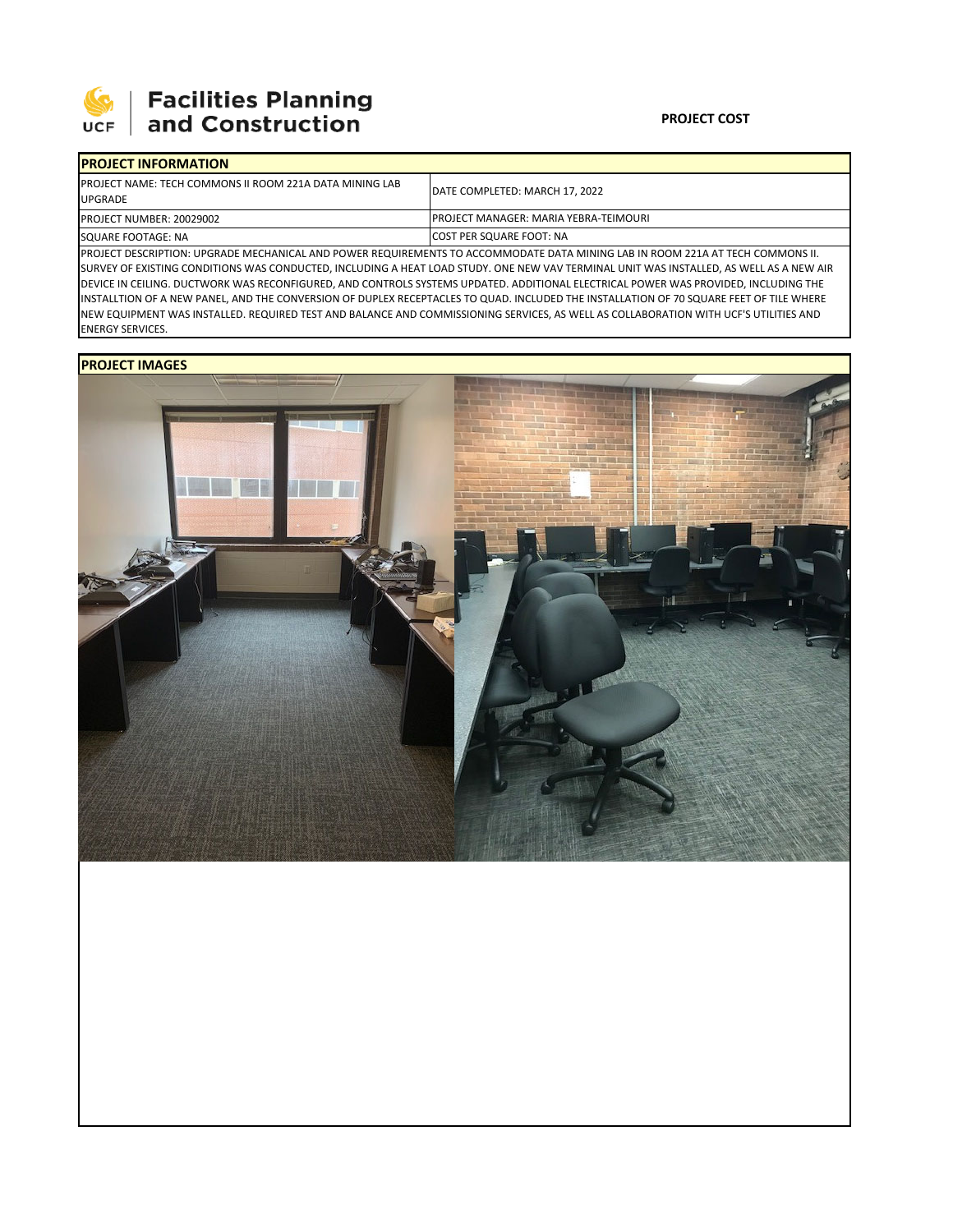

## 

| <b>IPROJECT INFORMATION</b>                                                       |                                               |  |  |  |  |
|-----------------------------------------------------------------------------------|-----------------------------------------------|--|--|--|--|
| <b>IPROJECT NAME: TECH COMMONS II ROOM 221A DATA MINING LAB</b><br><b>UPGRADE</b> | DATE COMPLETED: MARCH 17, 2022                |  |  |  |  |
| <b>PROJECT NUMBER: 20029002</b>                                                   | <b>IPROJECT MANAGER: MARIA YEBRA-TEIMOURI</b> |  |  |  |  |
| SQUARE FOOTAGE: NA                                                                | <b>ICOST PER SQUARE FOOT: NA</b>              |  |  |  |  |
|                                                                                   |                                               |  |  |  |  |

PROJECT DESCRIPTION: UPGRADE MECHANICAL AND POWER REQUIREMENTS TO ACCOMMODATE DATA MINING LAB IN ROOM 221A AT TECH COMMONS II. SURVEY OF EXISTING CONDITIONS WAS CONDUCTED, INCLUDING A HEAT LOAD STUDY. ONE NEW VAV TERMINAL UNIT WAS INSTALLED, AS WELL AS A NEW AIR DEVICE IN CEILING. DUCTWORK WAS RECONFIGURED, AND CONTROLS SYSTEMS UPDATED. ADDITIONAL ELECTRICAL POWER WAS PROVIDED, INCLUDING THE INSTALLTION OF A NEW PANEL, AND THE CONVERSION OF DUPLEX RECEPTACLES TO QUAD. INCLUDED THE INSTALLATION OF 70 SQUARE FEET OF TILE WHERE NEW EQUIPMENT WAS INSTALLED. REQUIRED TEST AND BALANCE AND COMMISSIONING SERVICES, AS WELL AS COLLABORATION WITH UCF'S UTILITIES AND ENERGY SERVICES.

## **PROJECT IMAGES**